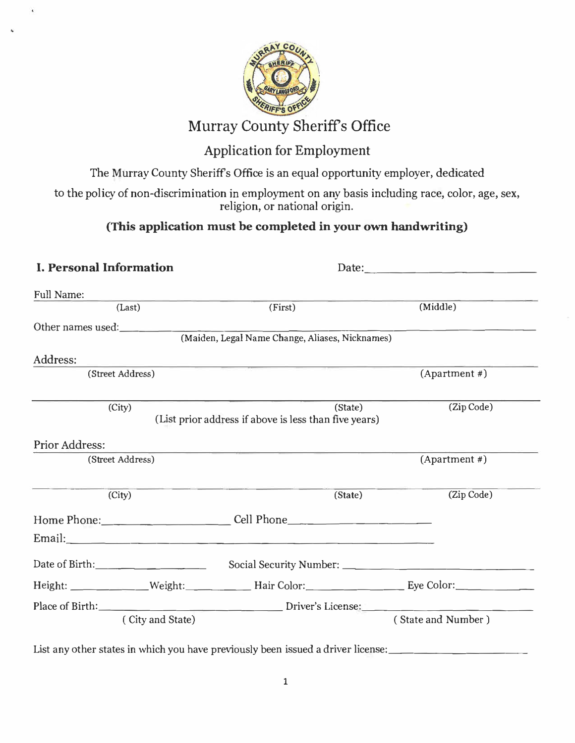

## Murray County Sheriffs Office

## Application for Employment

The Murray County Sheriffs Office is an equal opportunity employer, dedicated

to the policy of non-discrimination in employment on any basis including race, color, age, sex, religion, or national origin.

#### **(This application must be completed in your own handwriting)**

#### **I. Personal Information** Full Name: Date: (Last) (First) (Middle) Other names used: Address: (Street Address) (City) Prior Address: (Street Address) (City) (Maiden, Legal Name Change, Aliases, Nicknames) (State) (List prior address if above is less than five years) **(State)**   $(Apartment \#)$ (Zip Code)  $(Apartment \#)$ (Zip Code) Home Phone: \_\_\_\_\_\_\_\_\_\_ Cell Phone \_\_\_\_\_\_\_\_\_\_ \_ Email:  $\Box$ Date of Birth:\_\_\_\_\_\_\_\_\_ Social Security Number: \_\_\_\_\_\_\_\_\_\_\_\_\_\_ \_ Height: \_\_\_\_\_\_\_\_\_\_\_ Weight: \_\_\_\_\_\_ Hair Color: \_\_\_\_\_\_\_\_\_\_\_ Eye Color: \_\_\_\_\_\_\_\_\_\_ Place of Birth:  $\qquad \qquad$  (City and State) ( State and Number )

List any other states in which you have previously been issued a driver license: \_\_\_\_\_\_\_\_\_\_\_\_\_\_\_\_\_\_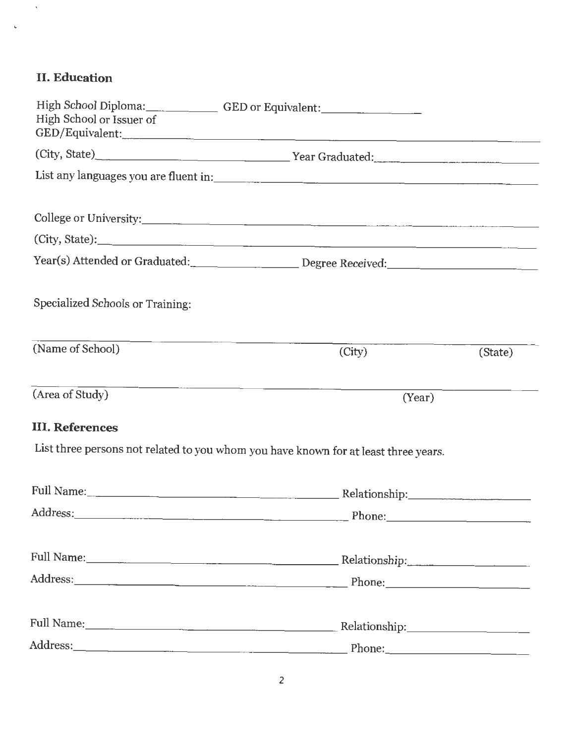## II. **Education**

 $\hat{\mathbf{v}}$ 

**L** 

| High School or Issuer of         | High School Diploma:_______________GED or Equivalent:____________________________                                               |         |
|----------------------------------|---------------------------------------------------------------------------------------------------------------------------------|---------|
|                                  |                                                                                                                                 |         |
|                                  |                                                                                                                                 |         |
|                                  |                                                                                                                                 |         |
|                                  |                                                                                                                                 |         |
|                                  |                                                                                                                                 |         |
| Specialized Schools or Training: |                                                                                                                                 |         |
| (Name of School)                 | (City)                                                                                                                          | (State) |
| (Area of Study)                  | <u> 1980 - Jan Start Barbara, martin da basar da basar da basar da basar da basar da basar da basar da basar da b</u><br>(Year) |         |
| <b>III. References</b>           |                                                                                                                                 |         |
|                                  | List three persons not related to you whom you have known for at least three years.                                             |         |
|                                  |                                                                                                                                 |         |
|                                  |                                                                                                                                 |         |
|                                  |                                                                                                                                 |         |
|                                  |                                                                                                                                 |         |
|                                  |                                                                                                                                 |         |
|                                  |                                                                                                                                 |         |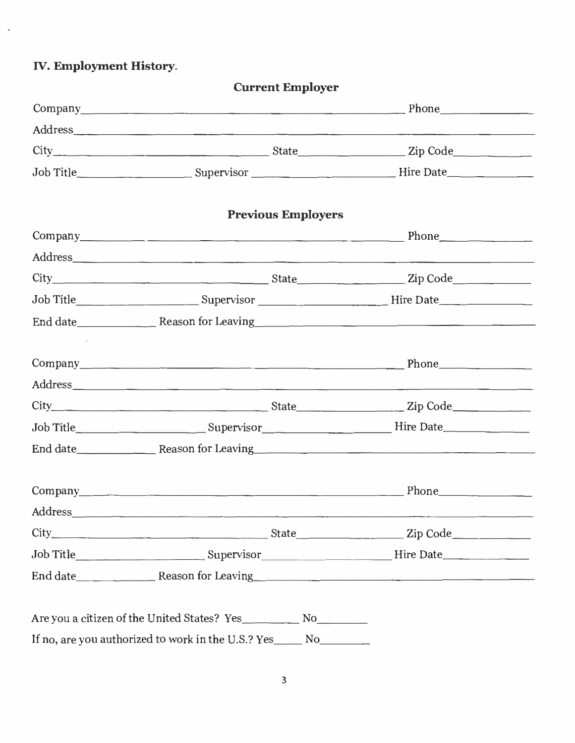**IV. Employment History.**

| Current employer                                                                                                                                                                                                               |  |
|--------------------------------------------------------------------------------------------------------------------------------------------------------------------------------------------------------------------------------|--|
| $Company$ Phone                                                                                                                                                                                                                |  |
| Address and the contract of the contract of the contract of the contract of the contract of the contract of the contract of the contract of the contract of the contract of the contract of the contract of the contract of th |  |
|                                                                                                                                                                                                                                |  |
|                                                                                                                                                                                                                                |  |
| <b>Previous Employers</b>                                                                                                                                                                                                      |  |
| Company Phone Phone                                                                                                                                                                                                            |  |
|                                                                                                                                                                                                                                |  |
|                                                                                                                                                                                                                                |  |
| Job Title_____________________________Supervisor________________________Hire Date___________________                                                                                                                           |  |
|                                                                                                                                                                                                                                |  |
|                                                                                                                                                                                                                                |  |
| Company Phone Phone                                                                                                                                                                                                            |  |
|                                                                                                                                                                                                                                |  |
|                                                                                                                                                                                                                                |  |
| Job Title_________________________Supervisor_______________________Hire Date________________________                                                                                                                           |  |
|                                                                                                                                                                                                                                |  |
|                                                                                                                                                                                                                                |  |
|                                                                                                                                                                                                                                |  |
|                                                                                                                                                                                                                                |  |
|                                                                                                                                                                                                                                |  |
| End date Reason for Leaving                                                                                                                                                                                                    |  |
|                                                                                                                                                                                                                                |  |
| If no, are you authorized to work in the U.S.? Yes______ No_________                                                                                                                                                           |  |

**Current Employer**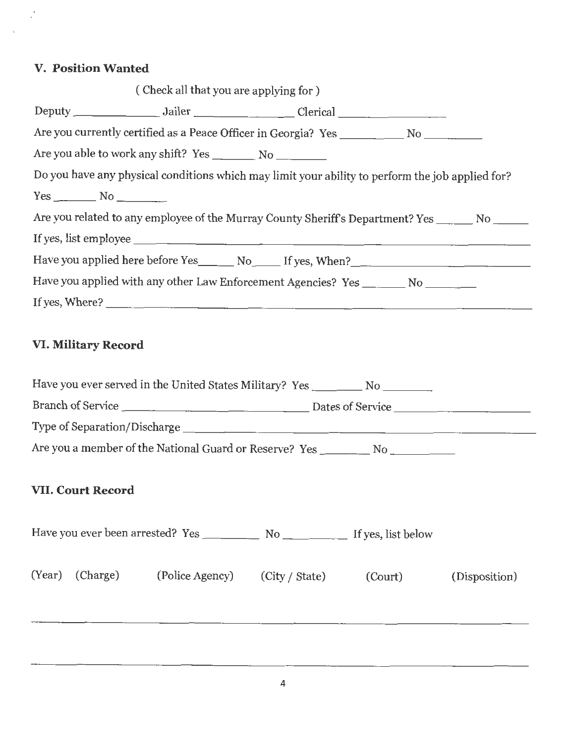#### **V. Position Wanted**

 $\ddot{\phantom{0}}$ ÷.

|                          | (Check all that you are applying for)                                                            |  |  |
|--------------------------|--------------------------------------------------------------------------------------------------|--|--|
|                          |                                                                                                  |  |  |
|                          |                                                                                                  |  |  |
|                          |                                                                                                  |  |  |
|                          | Do you have any physical conditions which may limit your ability to perform the job applied for? |  |  |
| $Yes \_\_\_ No \_\_\_\_$ |                                                                                                  |  |  |
|                          | Are you related to any employee of the Murray County Sheriff's Department? Yes _______ No ______ |  |  |
|                          |                                                                                                  |  |  |
|                          |                                                                                                  |  |  |
|                          | Have you applied with any other Law Enforcement Agencies? Yes _______ No _______                 |  |  |
|                          |                                                                                                  |  |  |
|                          |                                                                                                  |  |  |

## **VI. Military Record**

|  |                          | Have you ever served in the United States Military? Yes ___________ No _________  |  |  |               |
|--|--------------------------|-----------------------------------------------------------------------------------|--|--|---------------|
|  |                          |                                                                                   |  |  |               |
|  |                          |                                                                                   |  |  |               |
|  |                          | Are you a member of the National Guard or Reserve? Yes __________ No ____________ |  |  |               |
|  | <b>VII. Court Record</b> |                                                                                   |  |  |               |
|  |                          |                                                                                   |  |  |               |
|  |                          | (Year) (Charge) (Police Agency) (City / State) (Court)                            |  |  | (Disposition) |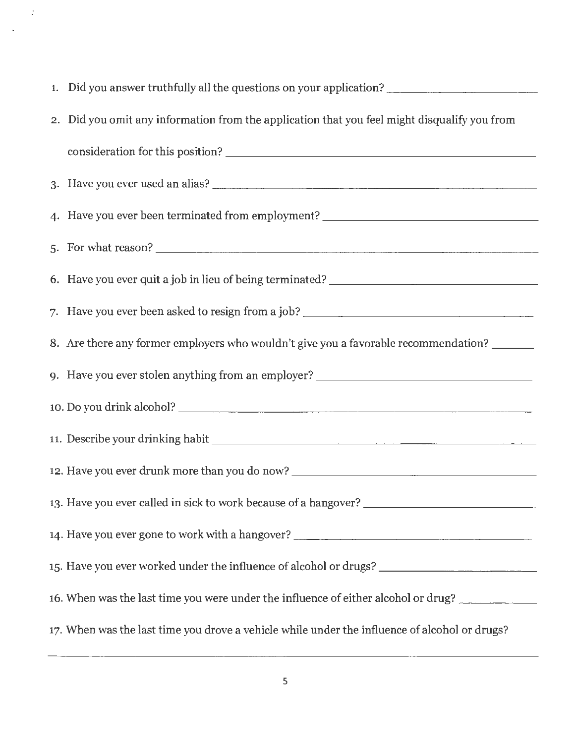| 1. Did you answer truthfully all the questions on your application?                           |
|-----------------------------------------------------------------------------------------------|
| 2. Did you omit any information from the application that you feel might disqualify you from  |
|                                                                                               |
|                                                                                               |
| 4. Have you ever been terminated from employment? ______________________________              |
| 5. For what reason?                                                                           |
| 6. Have you ever quit a job in lieu of being terminated? ________________________             |
|                                                                                               |
| 8. Are there any former employers who wouldn't give you a favorable recommendation? ______    |
| 9. Have you ever stolen anything from an employer? _____________________________              |
|                                                                                               |
|                                                                                               |
| 12. Have you ever drunk more than you do now? __________________________________              |
|                                                                                               |
| 14. Have you ever gone to work with a hangover? _________________________________             |
|                                                                                               |
| 16. When was the last time you were under the influence of either alcohol or drug?            |
| 17. When was the last time you drove a vehicle while under the influence of alcohol or drugs? |

 $\frac{1}{2}$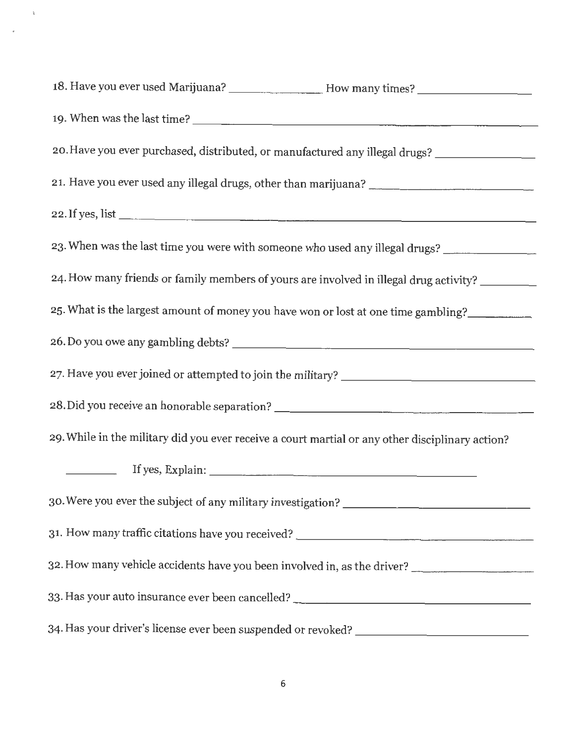| 19. When was the last time?                                                                      |  |  |
|--------------------------------------------------------------------------------------------------|--|--|
| 20. Have you ever purchased, distributed, or manufactured any illegal drugs? _________________   |  |  |
|                                                                                                  |  |  |
| 22. If yes, list                                                                                 |  |  |
| 23. When was the last time you were with someone who used any illegal drugs?                     |  |  |
| 24. How many friends or family members of yours are involved in illegal drug activity?           |  |  |
| 25. What is the largest amount of money you have won or lost at one time gambling?               |  |  |
|                                                                                                  |  |  |
| 27. Have you ever joined or attempted to join the military? _____________________                |  |  |
| 28. Did you receive an honorable separation? ___________________________________                 |  |  |
| 29. While in the military did you ever receive a court martial or any other disciplinary action? |  |  |
|                                                                                                  |  |  |
|                                                                                                  |  |  |
| 31. How many traffic citations have you received? _______________________________                |  |  |
| 32. How many vehicle accidents have you been involved in, as the driver?                         |  |  |
| 33. Has your auto insurance ever been cancelled? _______________________________                 |  |  |
|                                                                                                  |  |  |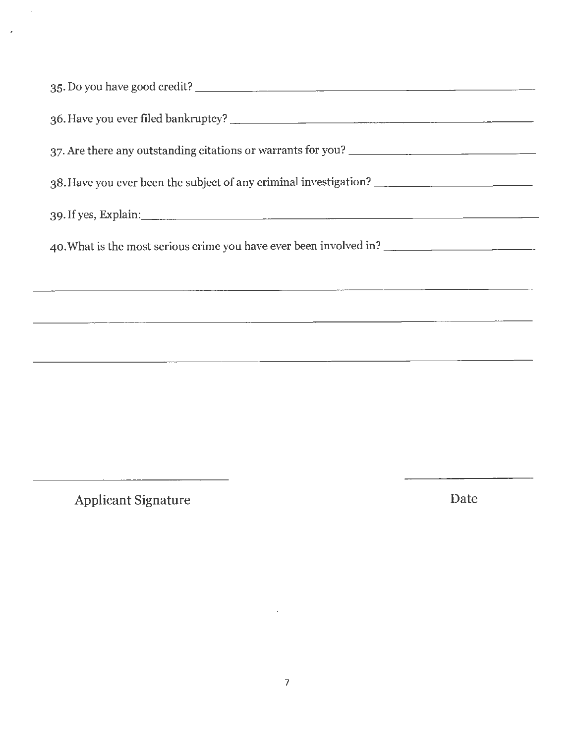| 37. Are there any outstanding citations or warrants for you? ___________________ |
|----------------------------------------------------------------------------------|
| 38. Have you ever been the subject of any criminal investigation?                |
|                                                                                  |
| 40. What is the most serious crime you have ever been involved in?               |
| <u> 1980 - Jan Samuel Samuel (f. 1980)</u>                                       |
|                                                                                  |
|                                                                                  |
|                                                                                  |

Applicant Signature Date

*:*